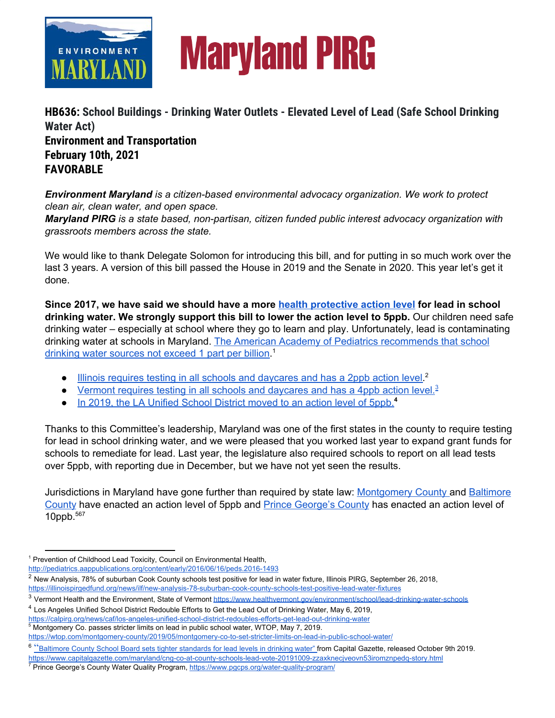

# **Maryland PIRG**

**HB636: School Buildings - Drinking Water Outlets - Elevated Level of Lead (Safe School Drinking Water Act) Environment and Transportation February 10th, 2021 FAVORABLE**

*Environment Maryland is a citizen-based environmental advocacy organization. We work to protect clean air, clean water, and open space.*

*Maryland PIRG is a state based, non-partisan, citizen funded public interest advocacy organization with grassroots members across the state.*

We would like to thank Delegate Solomon for introducing this bill, and for putting in so much work over the last 3 years. A version of this bill passed the House in 2019 and the Senate in 2020. This year let's get it done.

**Since 2017, we have said we should have a more health [protective](http://pediatrics.aappublications.org/content/early/2016/06/16/peds.2016-1493) action level for lead in school drinking water. We strongly support this bill to lower the action level to 5ppb.** Our children need safe drinking water – especially at school where they go to learn and play. Unfortunately, lead is contaminating drinking water at schools in Maryland. The American Academy of Pediatrics [recommends](http://pediatrics.aappublications.org/content/early/2016/06/16/peds.2016-1493) that school drinking water [sources](http://pediatrics.aappublications.org/content/early/2016/06/16/peds.2016-1493) not exceed 1 part per billion.<sup>1</sup>

- Illinois requires testing in all schools and [daycares](https://illinoispirgedfund.org/news/ilf/new-analysis-78-suburban-cook-county-schools-test-positive-lead-water-fixtures) and has a 2ppb action level.<sup>2</sup>
- Vermont requires testing in all schools and [daycares](https://www.healthvermont.gov/environment/school/lead-drinking-water-schools) and has a 4ppb action level.<sup>[3](https://www.healthvermont.gov/environment/school/lead-drinking-water-schools)</sup>
- In 2019, the LA [Unified](https://calpirg.org/news/caf/los-angeles-unified-school-district-redoubles-efforts-get-lead-out-drinking-water) School District moved to an action level of 5ppb. **4**

Thanks to this Committee's leadership, Maryland was one of the first states in the county to require testing for lead in school drinking water, and we were pleased that you worked last year to expand grant funds for schools to remediate for lead. Last year, the legislature also required schools to report on all lead tests over 5ppb, with reporting due in December, but we have not yet seen the results.

Jurisdictions in Maryland have gone further than required by state law: [Montgomery](https://wtop.com/montgomery-county/2019/05/montgomery-co-to-set-stricter-limits-on-lead-in-public-school-water/) County and [Baltimore](https://www.capitalgazette.com/maryland/cng-co-at-county-schools-lead-vote-20191009-zzaxknecjveovn53iromznpedq-story.html) [County](https://www.capitalgazette.com/maryland/cng-co-at-county-schools-lead-vote-20191009-zzaxknecjveovn53iromznpedq-story.html) have enacted an action level of 5ppb and Prince [George's](https://www.pgcps.org/water-quality-program/) County has enacted an action level of 10ppb. 567

<sup>4</sup> Los Angeles Unified School District Redouble Efforts to Get the Lead Out of Drinking Water, May 6, 2019, <https://calpirg.org/news/caf/los-angeles-unified-school-district-redoubles-efforts-get-lead-out-drinking-water>

<sup>5</sup> Montgomery Co. passes stricter limits on lead in public school water, WTOP, May 7, 2019. <https://wtop.com/montgomery-county/2019/05/montgomery-co-to-set-stricter-limits-on-lead-in-public-school-water/>

<sup>&</sup>lt;sup>1</sup> Prevention of Childhood Lead Toxicity, Council on Environmental Health,

<http://pediatrics.aappublications.org/content/early/2016/06/16/peds.2016-1493>

<sup>&</sup>lt;sup>2</sup> New Analysis[,](https://illinoispirgedfund.org/news/ilf/new-analysis-78-suburban-cook-county-schools-test-positive-lead-water-fixtures) 78% of suburban Cook County schools test positive for lead in water fixture, Illinois PIRG, September 26, 2018, <https://illinoispirgedfund.org/news/ilf/new-analysis-78-suburban-cook-county-schools-test-positive-lead-water-fixtures>

<sup>&</sup>lt;sup>3</sup> Vermont Health and the Environment, State of Vermont <https://www.healthvermont.gov/environment/school/lead-drinking-water-schools>

<sup>&</sup>lt;sup>6</sup> ["](https://www.capitalgazette.com/maryland/cng-co-at-county-schools-lead-vote-20191009-zzaxknecjveovn53iromznpedq-story.html)Baltimore County School Board sets tighter [standards](https://www.capitalgazette.com/maryland/cng-co-at-county-schools-lead-vote-20191009-zzaxknecjveovn53iromznpedq-story.html) for lead levels in drinking water" from Capital Gazette, released October 9th 2019.

<https://www.capitalgazette.com/maryland/cng-co-at-county-schools-lead-vote-20191009-zzaxknecjveovn53iromznpedq-story.html>

<sup>&</sup>lt;sup>7</sup> Prince George's County Water Quality Program, <https://www.pgcps.org/water-quality-program/>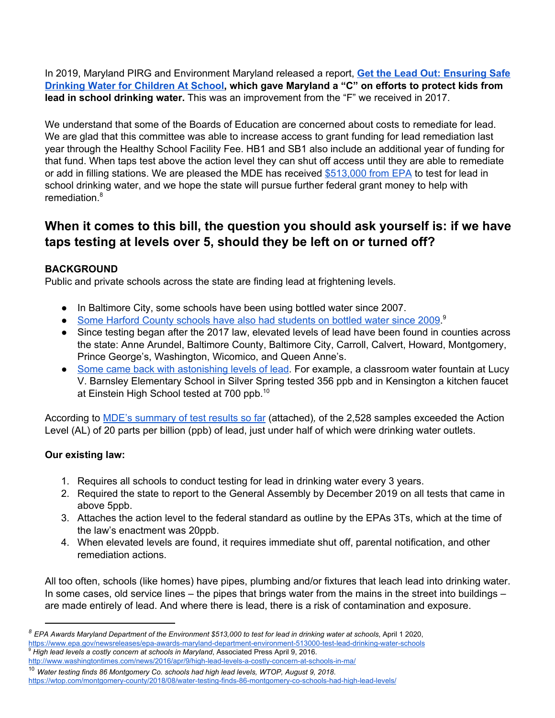In 2019, Maryland PIRG and Environment Maryland released a report, **Get the Lead Out: [Ensuring](https://marylandpirg.org/reports/mdp/get-lead-out-0) Safe Drinking Water for [Children](https://marylandpirg.org/reports/mdp/get-lead-out-0) At School, which gave Maryland a "C" on efforts to protect kids from lead in school drinking water.** This was an improvement from the "F" we received in 2017.

We understand that some of the Boards of Education are concerned about costs to remediate for lead. We are glad that this committee was able to increase access to grant funding for lead remediation last year through the Healthy School Facility Fee. HB1 and SB1 also include an additional year of funding for that fund. When taps test above the action level they can shut off access until they are able to remediate or add in filling stations. We are pleased the MDE has received [\\$513,000](https://www.epa.gov/newsreleases/epa-awards-maryland-department-environment-513000-test-lead-drinking-water-schools) from EPA to test for lead in school drinking water, and we hope the state will pursue further federal grant money to help with remediation. 8

# **When it comes to this bill, the question you should ask yourself is: if we have taps testing at levels over 5, should they be left on or turned off?**

# **BACKGROUND**

Public and private schools across the state are finding lead at frightening levels.

- In Baltimore City, some schools have been using bottled water since 2007.
- Some Harford County schools have also had [students](http://www.washingtontimes.com/news/2016/apr/9/high-lead-levels-a-costly-concern-at-schools-in-ma/) on bottled water since 2009.<sup>9</sup>
- Since testing began after the 2017 law, elevated levels of lead have been found in counties across the state: Anne Arundel, Baltimore County, Baltimore City, Carroll, Calvert, Howard, Montgomery, Prince George's, Washington, Wicomico, and Queen Anne's.
- Some came back with [astonishing](https://wtop.com/montgomery-county/2018/08/water-testing-finds-86-montgomery-co-schools-had-high-lead-levels/) levels of lead. For example, a classroom water fountain at Lucy V. Barnsley Elementary School in Silver Spring tested 356 ppb and in Kensington a kitchen faucet at Einstein High School tested at 700 ppb.<sup>10</sup>

According to MDE's [summary](https://mde.maryland.gov/programs/Water/water_supply/Documents/First_DrawSample_Results.pdf) of test results so far (attached)*,* of the 2,528 samples exceeded the Action Level (AL) of 20 parts per billion (ppb) of lead, just under half of which were drinking water outlets.

# **Our existing law:**

- 1. Requires all schools to conduct testing for lead in drinking water every 3 years.
- 2. Required the state to report to the General Assembly by December 2019 on all tests that came in above 5ppb.
- 3. Attaches the action level to the federal standard as outline by the EPAs 3Ts, which at the time of the law's enactment was 20ppb.
- 4. When elevated levels are found, it requires immediate shut off, parental notification, and other remediation actions.

All too often, schools (like homes) have pipes, plumbing and/or fixtures that leach lead into drinking water. In some cases, old service lines – the pipes that brings water from the mains in the street into buildings – are made entirely of lead. And where there is lead, there is a risk of contamination and exposure.

 $^8$  EPA Awards Maryland Department of the Environment \$513,000 to test for lead in drinking water at schools, April 1 2020, <https://www.epa.gov/newsreleases/epa-awards-maryland-department-environment-513000-test-lead-drinking-water-schools> <sup>9</sup> *High lead levels a costly concern at schools in Maryland*, Associated Press April 9, 2016[.](http://www.washingtontimes.com/news/2016/apr/9/high-lead-levels-a-costly-concern-at-schools-in-ma/)

<http://www.washingtontimes.com/news/2016/apr/9/high-lead-levels-a-costly-concern-at-schools-in-ma/>

<sup>10</sup> *Water testing finds 86 Montgomery Co. schools had high lead levels, WTOP, August 9, 2018*[.](https://wtop.com/montgomery-county/2018/08/water-testing-finds-86-montgomery-co-schools-had-high-lead-levels/) <https://wtop.com/montgomery-county/2018/08/water-testing-finds-86-montgomery-co-schools-had-high-lead-levels/>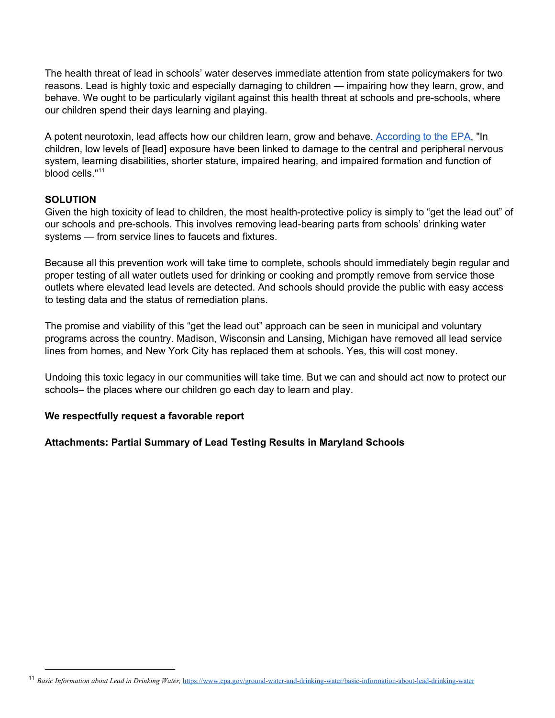The health threat of lead in schools' water deserves immediate attention from state policymakers for two reasons. Lead is highly toxic and especially damaging to children — impairing how they learn, grow, and behave. We ought to be particularly vigilant against this health threat at schools and pre-schools, where our children spend their days learning and playing.

A potent neurotoxin, lead affects how our children learn, grow and behave. [According](https://www.epa.gov/ground-water-and-drinking-water/basic-information-about-lead-drinking-water) to the EPA, "In children, low levels of [lead] exposure have been linked to damage to the central and peripheral nervous system, learning disabilities, shorter stature, impaired hearing, and impaired formation and function of blood cells."<sup>11</sup>

## **SOLUTION**

Given the high toxicity of lead to children, the most health-protective policy is simply to "get the lead out" of our schools and pre-schools. This involves removing lead-bearing parts from schools' drinking water systems — from service lines to faucets and fixtures.

Because all this prevention work will take time to complete, schools should immediately begin regular and proper testing of all water outlets used for drinking or cooking and promptly remove from service those outlets where elevated lead levels are detected. And schools should provide the public with easy access to testing data and the status of remediation plans.

The promise and viability of this "get the lead out" approach can be seen in municipal and voluntary programs across the country. Madison, Wisconsin and Lansing, Michigan have removed all lead service lines from homes, and New York City has replaced them at schools. Yes, this will cost money.

Undoing this toxic legacy in our communities will take time. But we can and should act now to protect our schools– the places where our children go each day to learn and play.

#### **We respectfully request a favorable report**

#### **Attachments: Partial Summary of Lead Testing Results in Maryland Schools**

<sup>11</sup> *Basic Information about Lead in Drinking Water,* <https://www.epa.gov/ground-water-and-drinking-water/basic-information-about-lead-drinking-water>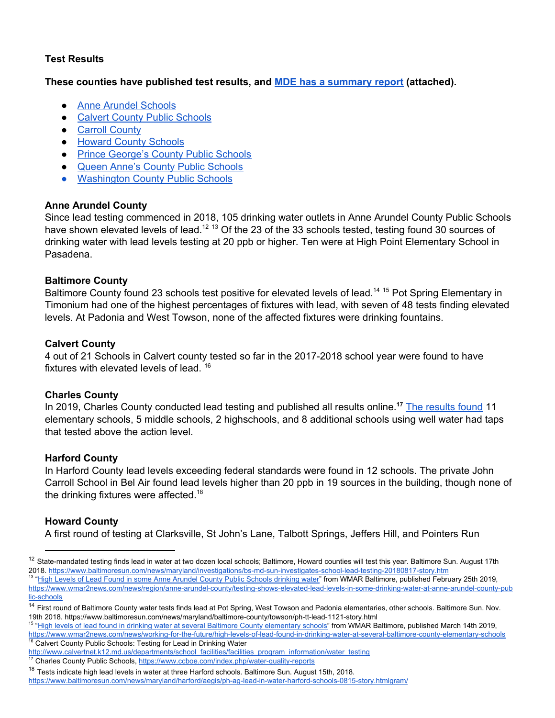## **Test Results**

## **These counties have published test results, and MDE has a [summary](https://mde.maryland.gov/programs/Water/water_supply/Pages/Testing-For-Lead-In-Drinking-Water-Public-and-Nonpublic-Schools.aspx) report (attached).**

- Anne Arundel [Schools](https://www.aacps.org/watertestresults)
- Calvert County Public [Schools](http://www.calvertnet.k12.md.us/departments/school_facilities/facilities_program_information/water_testing)
- Carroll [County](https://www.carrollk12.org/admin/facilities/Documents/CCPSH2OFixtureSampleResults.pdf)
- Howard County [Schools](https://www.hcpss.org/schools/water-quality-reports/)
- Prince [George's](https://www.pgcps.org/water-quality-program/) County Public Schools
- Queen Anne's County Public [Schools](https://www.qacps.org/site/default.aspx?PageType=3&DomainID=1&ModuleInstanceID=9296&ViewID=6446EE88-D30C-497E-9316-3F8874B3E108&RenderLoc=0&FlexDataID=13141&PageID=1)
- [Washington](http://wcpsmd.com/sites/default/files/documents/doub_water_test_results_04_18.pdf) County Public Schools

# **Anne Arundel County**

Since lead testing commenced in 2018, 105 drinking water outlets in Anne Arundel County Public Schools have shown elevated levels of lead.<sup>12 13</sup> Of the 23 of the 33 schools tested, testing found 30 sources of drinking water with lead levels testing at 20 ppb or higher. Ten were at High Point Elementary School in Pasadena.

## **Baltimore County**

Baltimore County found 23 schools test positive for elevated levels of lead.<sup>14 15</sup> Pot Spring Elementary in Timonium had one of the highest percentages of fixtures with lead, with seven of 48 tests finding elevated levels. At Padonia and West Towson, none of the affected fixtures were drinking fountains.

## **Calvert County**

4 out of 21 Schools in Calvert county tested so far in the 2017-2018 school year were found to have fixtures with elevated levels of lead. 16

## **Charles County**

In 2019, Charles County conducted lead testing and published all [results](https://www.ccboe.com/index.php/water-quality-reports) online.<sup>17</sup> The results found 11 elementary schools, 5 middle schools, 2 highschools, and 8 additional schools using well water had taps that tested above the action level.

# **Harford County**

In Harford County lead levels exceeding federal standards were found in 12 schools. The private John Carroll School in Bel Air found lead levels higher than 20 ppb in 19 sources in the building, though none of the drinking fixtures were affected.<sup>18</sup>

# **Howard County**

A first round of testing at Clarksville, St John's Lane, Talbott Springs, Jeffers Hill, and Pointers Run

<sup>&</sup>lt;sup>12</sup> State-mandated testing finds lead in water at two dozen local schools; Baltimore, Howard counties will test this year. Baltimore Sun. August 17th 2018. <https://www.baltimoresun.com/news/maryland/investigations/bs-md-sun-investigates-school-lead-testing-20180817-story.htm>

<sup>&</sup>lt;sup>13</sup> "High Levels of Lead Found in some Anne Arundel County Public [Schools](https://www.wmar2news.com/news/region/anne-arundel-county/testing-shows-elevated-lead-levels-in-some-drinking-water-at-anne-arundel-county-public-schools) drinking water" from WMAR Baltimore, published February 25th 2019, [https://www.wmar2news.com/news/region/anne-arundel-county/testing-shows-elevated-lead-levels-in-some-drinking-water-at-anne-arundel-county-pub](https://www.wmar2news.com/news/region/anne-arundel-county/testing-shows-elevated-lead-levels-in-some-drinking-water-at-anne-arundel-county-public-schools) [lic-schools](https://www.wmar2news.com/news/region/anne-arundel-county/testing-shows-elevated-lead-levels-in-some-drinking-water-at-anne-arundel-county-public-schools)

<sup>&</sup>lt;sup>14</sup> First round of Baltimore County water tests finds lead at Pot Spring, West Towson and Padonia elementaries, other schools. Baltimore Sun. Nov. 19th 2018. https://www.baltimoresun.com/news/maryland/baltimore-county/towson/ph-tt-lead-1121-story.html

<sup>&</sup>lt;sup>15</sup> "High levels of lead found in drinking water at several Baltimore County [elementary](https://www.wmar2news.com/news/working-for-the-future/high-levels-of-lead-found-in-drinking-water-at-several-baltimore-county-elementary-schools) schools" from WMAR Baltimore, published March 14th 2019, <https://www.wmar2news.com/news/working-for-the-future/high-levels-of-lead-found-in-drinking-water-at-several-baltimore-county-elementary-schools> Calvert County Public Schools: Testing for Lead in Drinking Water

[http://www.calvertnet.k12.md.us/departments/school\\_facilities/facilities\\_program\\_information/water\\_testing](http://www.calvertnet.k12.md.us/departments/school_facilities/facilities_program_information/water_testing)

<sup>&</sup>lt;sup>17</sup> Charles County Public Schools, <https://www.ccboe.com/index.php/water-quality-reports>

<sup>&</sup>lt;sup>18</sup> Tests indicate high lead levels in water at three Harford schools. Baltimore Sun. August 15th, 2018.

<https://www.baltimoresun.com/news/maryland/harford/aegis/ph-ag-lead-in-water-harford-schools-0815-story.htmlgram/>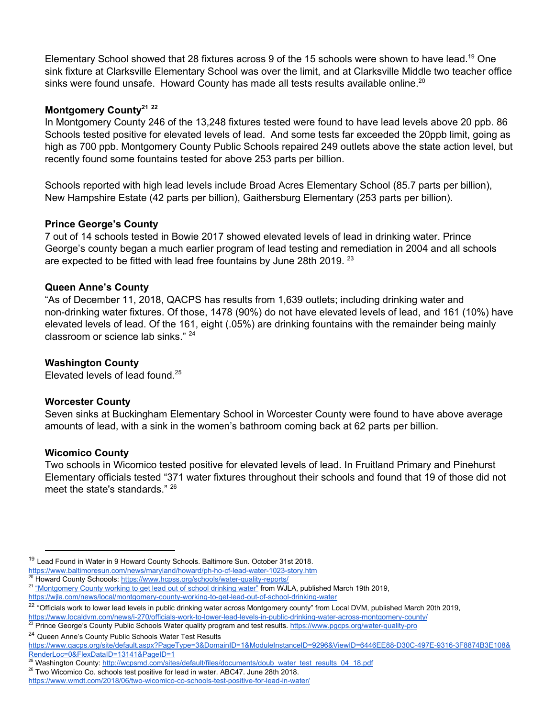Elementary School showed that 28 fixtures across 9 of the 15 schools were shown to have lead.<sup>19</sup> One sink fixture at Clarksville Elementary School was over the limit, and at Clarksville Middle two teacher office sinks were found unsafe. Howard County has made all tests results available online.<sup>20</sup>

## **Montgomery County 21 22**

In Montgomery County 246 of the 13,248 fixtures tested were found to have lead levels above 20 ppb. 86 Schools tested positive for elevated levels of lead. And some tests far exceeded the 20ppb limit, going as high as 700 ppb. Montgomery County Public Schools repaired 249 outlets above the state action level, but recently found some fountains tested for above 253 parts per billion.

Schools reported with high lead levels include Broad Acres Elementary School (85.7 parts per billion), New Hampshire Estate (42 parts per billion), Gaithersburg Elementary (253 parts per billion).

## **Prince George's County**

7 out of 14 schools tested in Bowie 2017 showed elevated levels of lead in drinking water. Prince George's county began a much earlier program of lead testing and remediation in 2004 and all schools are expected to be fitted with lead free fountains by June 28th 2019.<sup>23</sup>

#### **Queen Anne's County**

"As of December 11, 2018, QACPS has results from 1,639 outlets; including drinking water and non-drinking water fixtures. Of those, 1478 (90%) do not have elevated levels of lead, and 161 (10%) have elevated levels of lead. Of the 161, eight (.05%) are drinking fountains with the remainder being mainly classroom or science lab sinks."<sup>24</sup>

#### **Washington County**

Elevated levels of lead found. 25

#### **Worcester County**

Seven sinks at Buckingham Elementary School in Worcester County were found to have above average amounts of lead, with a sink in the women's bathroom coming back at 62 parts per billion.

#### **Wicomico County**

Two schools in Wicomico tested positive for elevated levels of lead. In Fruitland Primary and Pinehurst Elementary officials tested "371 water fixtures throughout their schools and found that 19 of those did not meet the state's standards." <sup>26</sup>

<sup>24</sup> Queen Anne's County Public Schools Water Test Results

<sup>&</sup>lt;sup>19</sup> Lead Found in Water in 9 Howard County Schools. Baltimore Sun. October 31st 2018.

<https://www.baltimoresun.com/news/maryland/howard/ph-ho-cf-lead-water-1023-story.htm><br>20 Howard County: Cabustinety.htm Howard County Schoools: <https://www.hcpss.org/schools/water-quality-reports/>

<sup>&</sup>lt;sup>21</sup> ["Montgomery](https://wjla.com/news/local/montgomery-county-working-to-get-lead-out-of-school-drinking-water) County working to get lead out of school drinking water" from WJLA, published March 19th 2019,

<https://wjla.com/news/local/montgomery-county-working-to-get-lead-out-of-school-drinking-water>

 $^{22}$  "Officials work to lower lead levels in public drinking water across Montgomery county" from Local DVM, published March 20th 2019,

<https://www.localdvm.com/news/i-270/officials-work-to-lower-lead-levels-in-public-drinking-water-across-montgomery-county/> <sup>23</sup> Prince George's County Public Schools Water quality program and test results. <https://www.pgcps.org/water-quality-pro>

[https://www.qacps.org/site/default.aspx?PageType=3&DomainID=1&ModuleInstanceID=9296&ViewID=6446EE88-D30C-497E-9316-3F8874B3E108&](https://www.qacps.org/site/default.aspx?PageType=3&DomainID=1&ModuleInstanceID=9296&ViewID=6446EE88-D30C-497E-9316-3F8874B3E108&RenderLoc=0&FlexDataID=13141&PageID=1) [RenderLoc=0&FlexDataID=13141&PageID=1](https://www.qacps.org/site/default.aspx?PageType=3&DomainID=1&ModuleInstanceID=9296&ViewID=6446EE88-D30C-497E-9316-3F8874B3E108&RenderLoc=0&FlexDataID=13141&PageID=1)

<sup>&</sup>lt;sup>25</sup> Washington County[:](http://wcpsmd.com/sites/default/files/documents/doub_water_test_results_04_18.pdf) [http://wcpsmd.com/sites/default/files/documents/doub\\_water\\_test\\_results\\_04\\_18.pdf](http://wcpsmd.com/sites/default/files/documents/doub_water_test_results_04_18.pdf)

<sup>&</sup>lt;sup>26</sup> Two Wicomico Co. schools test positive for lead in water. ABC47. June 28th 2018.

<https://www.wmdt.com/2018/06/two-wicomico-co-schools-test-positive-for-lead-in-water/>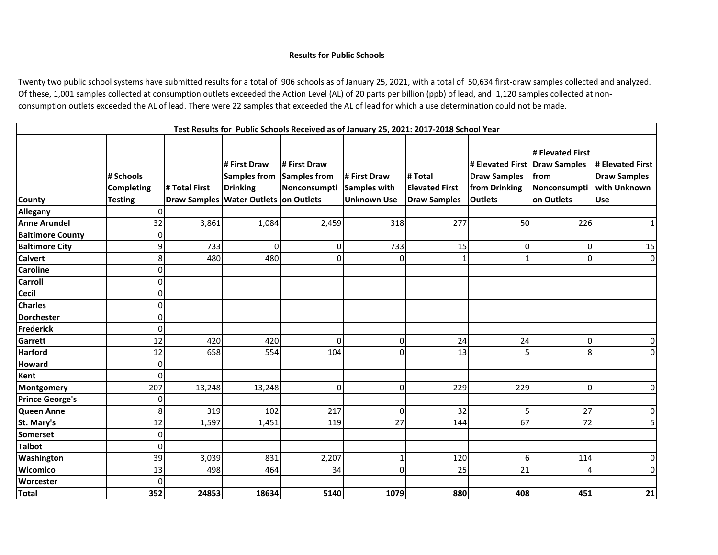Twenty two public school systems have submitted results for a total of 906 schools as of January 25, 2021, with a total of 50,634 first-draw samples collected and analyzed. Of these, 1,001 samples collected at consumption outlets exceeded the Action Level (AL) of 20 parts per billion (ppb) of lead, and 1,120 samples collected at nonconsumption outlets exceeded the AL of lead. There were 22 samples that exceeded the AL of lead for which a use determination could not be made.

| Test Results for Public Schools Received as of January 25, 2021: 2017-2018 School Year |                                                  |               |                                                                                                 |                                                     |                                                    |                                                         |                                                                                  |                                                        |                                                                       |  |
|----------------------------------------------------------------------------------------|--------------------------------------------------|---------------|-------------------------------------------------------------------------------------------------|-----------------------------------------------------|----------------------------------------------------|---------------------------------------------------------|----------------------------------------------------------------------------------|--------------------------------------------------------|-----------------------------------------------------------------------|--|
| <b>County</b>                                                                          | # Schools<br><b>Completing</b><br><b>Testing</b> | # Total First | # First Draw<br><b>Samples from</b><br><b>Drinking</b><br>Draw Samples Water Outlets on Outlets | # First Draw<br><b>Samples from</b><br>Nonconsumpti | # First Draw<br>Samples with<br><b>Unknown Use</b> | # Total<br><b>Elevated First</b><br><b>Draw Samples</b> | # Elevated First Draw Samples<br>Draw Samples<br>from Drinking<br><b>Outlets</b> | # Elevated First<br>from<br>Nonconsumpti<br>on Outlets | # Elevated First<br><b>Draw Samples</b><br>with Unknown<br><b>Use</b> |  |
| <b>Allegany</b>                                                                        | $\overline{0}$                                   |               |                                                                                                 |                                                     |                                                    |                                                         |                                                                                  |                                                        |                                                                       |  |
| <b>Anne Arundel</b>                                                                    | 32                                               | 3,861         | 1,084                                                                                           | 2,459                                               | 318                                                | 277                                                     | 50                                                                               | 226                                                    | $\mathbf{1}$                                                          |  |
| <b>Baltimore County</b>                                                                | $\mathbf 0$                                      |               |                                                                                                 |                                                     |                                                    |                                                         |                                                                                  |                                                        |                                                                       |  |
| <b>Baltimore City</b>                                                                  | 9                                                | 733           | $\mathbf 0$                                                                                     | $\mathbf 0$                                         | 733                                                | 15                                                      | $\overline{0}$                                                                   | $\Omega$                                               | 15                                                                    |  |
| <b>Calvert</b>                                                                         | 8                                                | 480           | 480                                                                                             | $\Omega$                                            | $\Omega$                                           |                                                         | 1                                                                                | $\Omega$                                               | $\overline{0}$                                                        |  |
| <b>Caroline</b>                                                                        | $\mathbf 0$                                      |               |                                                                                                 |                                                     |                                                    |                                                         |                                                                                  |                                                        |                                                                       |  |
| <b>Carroll</b>                                                                         | $\mathbf 0$                                      |               |                                                                                                 |                                                     |                                                    |                                                         |                                                                                  |                                                        |                                                                       |  |
| <b>Cecil</b>                                                                           | $\mathbf 0$                                      |               |                                                                                                 |                                                     |                                                    |                                                         |                                                                                  |                                                        |                                                                       |  |
| <b>Charles</b>                                                                         | $\mathbf 0$                                      |               |                                                                                                 |                                                     |                                                    |                                                         |                                                                                  |                                                        |                                                                       |  |
| <b>Dorchester</b>                                                                      | $\mathbf 0$                                      |               |                                                                                                 |                                                     |                                                    |                                                         |                                                                                  |                                                        |                                                                       |  |
| <b>Frederick</b>                                                                       | $\mathbf 0$                                      |               |                                                                                                 |                                                     |                                                    |                                                         |                                                                                  |                                                        |                                                                       |  |
| Garrett                                                                                | 12                                               | 420           | 420                                                                                             | 0                                                   | $\overline{0}$                                     | 24                                                      | 24                                                                               | 0                                                      | $\overline{0}$                                                        |  |
| <b>Harford</b>                                                                         | 12                                               | 658           | 554                                                                                             | 104                                                 | $\Omega$                                           | 13                                                      | 5                                                                                | 8                                                      | $\overline{0}$                                                        |  |
| <b>Howard</b>                                                                          | $\mathbf 0$                                      |               |                                                                                                 |                                                     |                                                    |                                                         |                                                                                  |                                                        |                                                                       |  |
| Kent                                                                                   | $\mathbf 0$                                      |               |                                                                                                 |                                                     |                                                    |                                                         |                                                                                  |                                                        |                                                                       |  |
| <b>Montgomery</b>                                                                      | 207                                              | 13,248        | 13,248                                                                                          | $\mathbf 0$                                         | $\overline{0}$                                     | 229                                                     | 229                                                                              | $\Omega$                                               | $\overline{0}$                                                        |  |
| <b>Prince George's</b>                                                                 | 0                                                |               |                                                                                                 |                                                     |                                                    |                                                         |                                                                                  |                                                        |                                                                       |  |
| <b>Queen Anne</b>                                                                      | 8                                                | 319           | 102                                                                                             | 217                                                 | $\overline{0}$                                     | 32                                                      | 5                                                                                | 27                                                     | $\overline{0}$                                                        |  |
| St. Mary's                                                                             | 12                                               | 1,597         | 1,451                                                                                           | 119                                                 | 27                                                 | 144                                                     | 67                                                                               | 72                                                     | 5 <sup>1</sup>                                                        |  |
| <b>Somerset</b>                                                                        | $\mathbf 0$                                      |               |                                                                                                 |                                                     |                                                    |                                                         |                                                                                  |                                                        |                                                                       |  |
| <b>Talbot</b>                                                                          | $\mathbf 0$                                      |               |                                                                                                 |                                                     |                                                    |                                                         |                                                                                  |                                                        |                                                                       |  |
| Washington                                                                             | 39                                               | 3,039         | 831                                                                                             | 2,207                                               | 1                                                  | 120                                                     | 6                                                                                | 114                                                    | $\overline{0}$                                                        |  |
| Wicomico                                                                               | 13                                               | 498           | 464                                                                                             | 34                                                  | $\Omega$                                           | 25                                                      | 21                                                                               |                                                        | $\overline{0}$                                                        |  |
| Worcester                                                                              | $\Omega$                                         |               |                                                                                                 |                                                     |                                                    |                                                         |                                                                                  |                                                        |                                                                       |  |
| <b>Total</b>                                                                           | 352                                              | 24853         | 18634                                                                                           | 5140                                                | 1079                                               | 880                                                     | 408                                                                              | 451                                                    | 21                                                                    |  |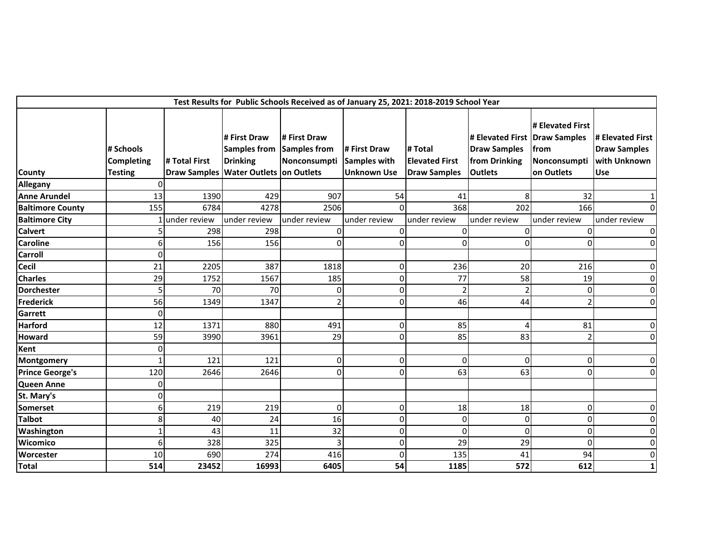|                         |                                                  |               |                                                                                                 | Test Results for Public Schools Received as of January 25, 2021: 2018-2019 School Year |                                                           |                                                         |                                                                            |                                                                        |                                                                |
|-------------------------|--------------------------------------------------|---------------|-------------------------------------------------------------------------------------------------|----------------------------------------------------------------------------------------|-----------------------------------------------------------|---------------------------------------------------------|----------------------------------------------------------------------------|------------------------------------------------------------------------|----------------------------------------------------------------|
| County                  | # Schools<br><b>Completing</b><br><b>Testing</b> | # Total First | # First Draw<br><b>Samples from</b><br><b>Drinking</b><br>Draw Samples Water Outlets on Outlets | # First Draw<br>Samples from<br>Nonconsumpti                                           | # First Draw<br><b>Samples with</b><br><b>Unknown Use</b> | # Total<br><b>Elevated First</b><br><b>Draw Samples</b> | # Elevated First<br><b>Draw Samples</b><br>from Drinking<br><b>Outlets</b> | # Elevated First<br>Draw Samples<br>from<br>Nonconsumpti<br>on Outlets | # Elevated First<br>Draw Samples<br>with Unknown<br><b>Use</b> |
| Allegany                | $\overline{0}$                                   |               |                                                                                                 |                                                                                        |                                                           |                                                         |                                                                            |                                                                        |                                                                |
| <b>Anne Arundel</b>     | 13                                               | 1390          | 429                                                                                             | 907                                                                                    | 54                                                        | 41                                                      | 8                                                                          | 32                                                                     | 1                                                              |
| <b>Baltimore County</b> | 155                                              | 6784          | 4278                                                                                            | 2506                                                                                   | $\Omega$                                                  | 368                                                     | 202                                                                        | 166                                                                    | $\Omega$                                                       |
| <b>Baltimore City</b>   |                                                  | under review  | under review                                                                                    | under review                                                                           | under review                                              | under review                                            | under review                                                               | under review                                                           | under review                                                   |
| <b>Calvert</b>          |                                                  | 298           | 298                                                                                             | $\Omega$                                                                               |                                                           | 0                                                       |                                                                            | 0                                                                      | 0                                                              |
| <b>Caroline</b>         | 6                                                | 156           | 156                                                                                             | $\Omega$                                                                               | $\Omega$                                                  | $\Omega$                                                | O                                                                          | $\Omega$                                                               | $\mathbf 0$                                                    |
| <b>Carroll</b>          | $\overline{0}$                                   |               |                                                                                                 |                                                                                        |                                                           |                                                         |                                                                            |                                                                        |                                                                |
| <b>Cecil</b>            | 21                                               | 2205          | 387                                                                                             | 1818                                                                                   | 0                                                         | 236                                                     | 20                                                                         | 216                                                                    | $\mathbf 0$                                                    |
| <b>Charles</b>          | 29                                               | 1752          | 1567                                                                                            | 185                                                                                    | 0                                                         | 77                                                      | 58                                                                         | 19                                                                     | $\mathbf 0$                                                    |
| <b>Dorchester</b>       | 5                                                | 70            | 70                                                                                              | 0                                                                                      | 0                                                         | $\overline{2}$                                          | $\mathcal{D}$                                                              | 0                                                                      | $\mathbf 0$                                                    |
| <b>Frederick</b>        | 56                                               | 1349          | 1347                                                                                            |                                                                                        | 0                                                         | 46                                                      | 44                                                                         |                                                                        | $\mathbf 0$                                                    |
| Garrett                 | $\mathbf{0}$                                     |               |                                                                                                 |                                                                                        |                                                           |                                                         |                                                                            |                                                                        |                                                                |
| <b>Harford</b>          | 12                                               | 1371          | 880                                                                                             | 491                                                                                    | 0                                                         | 85                                                      | Δ                                                                          | 81                                                                     | $\mathbf 0$                                                    |
| <b>Howard</b>           | 59                                               | 3990          | 3961                                                                                            | 29                                                                                     | 0                                                         | 85                                                      | 83                                                                         |                                                                        | $\mathbf 0$                                                    |
| Kent                    | 0                                                |               |                                                                                                 |                                                                                        |                                                           |                                                         |                                                                            |                                                                        |                                                                |
| Montgomery              | $\mathbf 1$                                      | 121           | 121                                                                                             | 0                                                                                      | 0                                                         | 0                                                       | $\Omega$                                                                   | $\Omega$                                                               | 0                                                              |
| <b>Prince George's</b>  | 120                                              | 2646          | 2646                                                                                            | $\mathbf 0$                                                                            | 0                                                         | 63                                                      | 63                                                                         | $\overline{0}$                                                         | $\mathbf 0$                                                    |
| <b>Queen Anne</b>       | $\mathbf{0}$                                     |               |                                                                                                 |                                                                                        |                                                           |                                                         |                                                                            |                                                                        |                                                                |
| St. Mary's              | $\mathbf{0}$                                     |               |                                                                                                 |                                                                                        |                                                           |                                                         |                                                                            |                                                                        |                                                                |
| <b>Somerset</b>         | 6                                                | 219           | 219                                                                                             | $\pmb{0}$                                                                              | 0                                                         | 18                                                      | 18                                                                         | $\overline{0}$                                                         | $\mathbf 0$                                                    |
| <b>Talbot</b>           | 8                                                | 40            | 24                                                                                              | 16                                                                                     | 0                                                         | 0                                                       | $\mathbf 0$                                                                | $\overline{0}$                                                         | $\mathbf 0$                                                    |
| Washington              | $\mathbf 1$                                      | 43            | 11                                                                                              | 32                                                                                     | $\overline{0}$                                            | $\overline{0}$                                          | $\Omega$                                                                   | $\Omega$                                                               | 0                                                              |
| <b>Wicomico</b>         | 6                                                | 328           | 325                                                                                             | 3                                                                                      | 0                                                         | 29                                                      | 29                                                                         | $\Omega$                                                               | $\mathbf 0$                                                    |
| Worcester               | 10                                               | 690           | 274                                                                                             | 416                                                                                    | 0                                                         | 135                                                     | 41                                                                         | 94                                                                     | $\mathbf 0$                                                    |
| <b>Total</b>            | 514                                              | 23452         | 16993                                                                                           | 6405                                                                                   | 54                                                        | 1185                                                    | 572                                                                        | 612                                                                    | $\mathbf{1}$                                                   |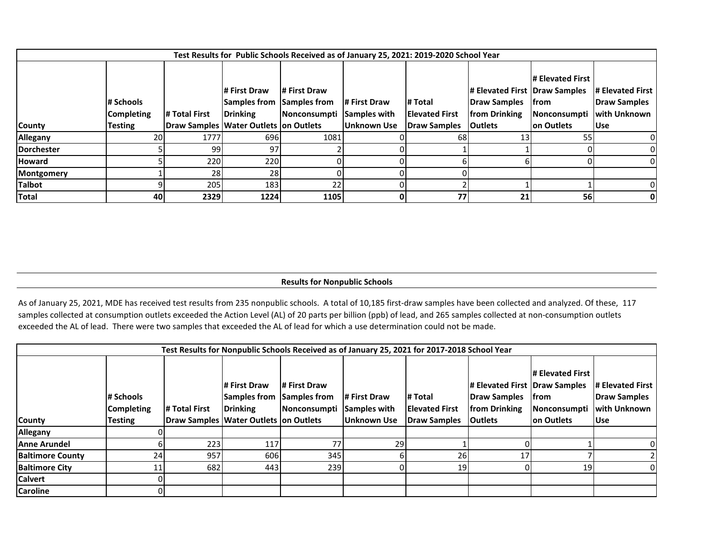|               |                                                  |               |                                                                                                         |                                                           |                             | Test Results for Public Schools Received as of January 25, 2021: 2019-2020 School Year |                                                                                    |                                                         |                                                                              |
|---------------|--------------------------------------------------|---------------|---------------------------------------------------------------------------------------------------------|-----------------------------------------------------------|-----------------------------|----------------------------------------------------------------------------------------|------------------------------------------------------------------------------------|---------------------------------------------------------|------------------------------------------------------------------------------|
| <b>County</b> | # Schools<br><b>Completing</b><br><b>Testing</b> | # Total First | <b>I# First Draw</b><br><b>Samples from</b><br><b>Drinking</b><br>Draw Samples Water Outlets on Outlets | # First Draw<br>Samples from<br>Nonconsumpti Samples with | # First Draw<br>Unknown Use | # Total<br><b>Elevated First</b><br>Draw Samples                                       | # Elevated First   Draw Samples<br>Draw Samples<br>from Drinking<br><b>Outlets</b> | # Elevated First<br> from<br>Nonconsumpti<br>on Outlets | <b># Elevated First</b><br>Draw Samples<br><b>with Unknown</b><br><b>Use</b> |
| Allegany      | 20                                               | 1777          | 696 <sub>l</sub>                                                                                        | 1081                                                      |                             | 68                                                                                     | 13I                                                                                | 55                                                      | OI                                                                           |
| Dorchester    |                                                  | 99            | 97                                                                                                      |                                                           |                             |                                                                                        |                                                                                    |                                                         |                                                                              |
| <b>Howard</b> |                                                  | 220           | <b>220</b>                                                                                              |                                                           |                             |                                                                                        |                                                                                    |                                                         |                                                                              |
| Montgomery    |                                                  | 28            | 28                                                                                                      |                                                           |                             |                                                                                        |                                                                                    |                                                         |                                                                              |
| <b>Talbot</b> |                                                  | 205           | 183                                                                                                     | 22                                                        |                             |                                                                                        |                                                                                    |                                                         | 01                                                                           |
| Total         | 40                                               | 2329          | 1224                                                                                                    | 1105                                                      |                             | 77                                                                                     | 21                                                                                 | 56                                                      | 0                                                                            |

### **Results for Nonpublic Schools**

As of January 25, 2021, MDE has received test results from 235 nonpublic schools. A total of 10,185 first-draw samples have been collected and analyzed. Of these, 117 samples collected at consumption outlets exceeded the Action Level (AL) of 20 parts per billion (ppb) of lead, and 265 samples collected at non-consumption outlets exceeded the AL of lead. There were two samples that exceeded the AL of lead for which a use determination could not be made.

|                         |                                                  |               |                                                                                                 |                                                                  |                             | Test Results for Nonpublic Schools Received as of January 25, 2021 for 2017-2018 School Year |                                                                                    |                                                                       |                                                                        |
|-------------------------|--------------------------------------------------|---------------|-------------------------------------------------------------------------------------------------|------------------------------------------------------------------|-----------------------------|----------------------------------------------------------------------------------------------|------------------------------------------------------------------------------------|-----------------------------------------------------------------------|------------------------------------------------------------------------|
| <b>County</b>           | # Schools<br><b>Completing</b><br><b>Testing</b> | # Total First | # First Draw<br><b>Samples from</b><br><b>Drinking</b><br>Draw Samples Water Outlets on Outlets | # First Draw<br><b>Samples from</b><br>Nonconsumpti Samples with | # First Draw<br>Unknown Use | # Total<br><b>Elevated First</b><br><b>Draw Samples</b>                                      | # Elevated First   Draw Samples<br>Draw Samples<br>from Drinking<br><b>Outlets</b> | # Elevated First<br><b>Ifrom</b><br><b>Nonconsumpti</b><br>on Outlets | # Elevated First<br><b>Draw Samples</b><br><b>with Unknown</b><br>lUse |
| Allegany                |                                                  |               |                                                                                                 |                                                                  |                             |                                                                                              |                                                                                    |                                                                       |                                                                        |
| <b>Anne Arundel</b>     |                                                  | 223           | 117                                                                                             | 77                                                               | 29                          |                                                                                              |                                                                                    |                                                                       |                                                                        |
| <b>Baltimore County</b> | 24                                               | 957           | 606                                                                                             | 345                                                              |                             | 26                                                                                           | 17                                                                                 |                                                                       |                                                                        |
| <b>Baltimore City</b>   | 11                                               | 682           | 443                                                                                             | 239                                                              |                             | 19                                                                                           |                                                                                    | 19                                                                    |                                                                        |
| <b>Calvert</b>          |                                                  |               |                                                                                                 |                                                                  |                             |                                                                                              |                                                                                    |                                                                       |                                                                        |
| <b>Caroline</b>         |                                                  |               |                                                                                                 |                                                                  |                             |                                                                                              |                                                                                    |                                                                       |                                                                        |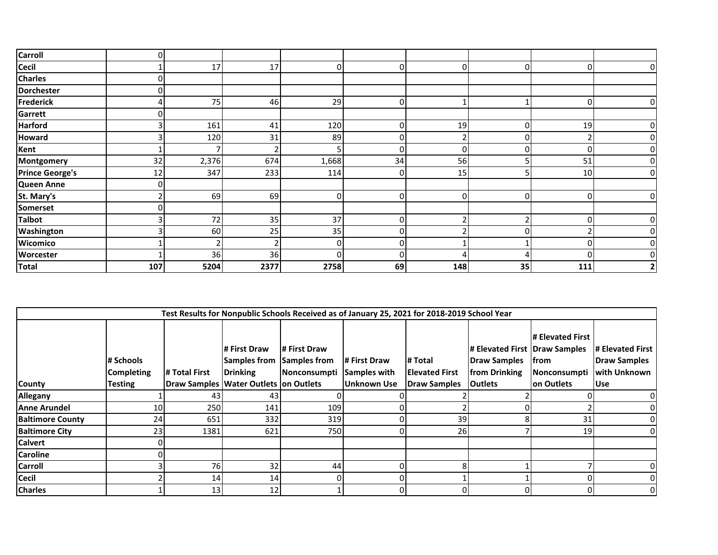| <b>Carroll</b>         | 0   |       |      |       |    |     |    |          |  |
|------------------------|-----|-------|------|-------|----|-----|----|----------|--|
| <b>Cecil</b>           |     | 17    | 17   |       | 0  |     | O  | 0        |  |
| <b>Charles</b>         | O   |       |      |       |    |     |    |          |  |
| <b>Dorchester</b>      | 0   |       |      |       |    |     |    |          |  |
| <b>Frederick</b>       | 4   | 75    | 46   | 29    | 0  |     |    |          |  |
| Garrett                | 0   |       |      |       |    |     |    |          |  |
| <b>Harford</b>         | 3   | 161   | 41   | 120   | 0  | 19  | 0  | 19       |  |
| <b>Howard</b>          |     | 120   | 31   | 89    | 0  |     |    |          |  |
| Kent                   |     |       | 2    |       | 0  |     |    |          |  |
| Montgomery             | 32  | 2,376 | 674  | 1,668 | 34 | 56  |    | 51       |  |
| <b>Prince George's</b> | 12  | 347   | 233  | 114   | 0  | 15  |    | 10       |  |
| Queen Anne             | 0   |       |      |       |    |     |    |          |  |
| St. Mary's             | ຳ   | 69    | 69   |       | 0  |     | ი  |          |  |
| Somerset               | 0   |       |      |       |    |     |    |          |  |
| <b>Talbot</b>          |     | 72    | 35   | 37    | 0  |     |    | $\Omega$ |  |
| Washington             |     | 60    | 25   | 35    | 0  |     |    |          |  |
| Wicomico               |     |       | 2    |       | 0  |     |    |          |  |
| <b>Worcester</b>       |     | 36    | 36   |       | 0  |     |    |          |  |
| <b>Total</b>           | 107 | 5204  | 2377 | 2758  | 69 | 148 | 35 | 111      |  |

|                         |                                                  |               |                                                                                                         |                                              |                                                    | Test Results for Nonpublic Schools Received as of January 25, 2021 for 2018-2019 School Year |                                                                                    |                                                          |                                                                       |
|-------------------------|--------------------------------------------------|---------------|---------------------------------------------------------------------------------------------------------|----------------------------------------------|----------------------------------------------------|----------------------------------------------------------------------------------------------|------------------------------------------------------------------------------------|----------------------------------------------------------|-----------------------------------------------------------------------|
| <b>County</b>           | # Schools<br><b>Completing</b><br><b>Testing</b> | # Total First | <b>I# First Draw</b><br><b>Samples from</b><br><b>Drinking</b><br>Draw Samples Water Outlets on Outlets | # First Draw<br>Samples from<br>Nonconsumpti | # First Draw<br>Samples with<br><b>Unknown Use</b> | # Total<br><b>IElevated First</b><br><b>Draw Samples</b>                                     | # Elevated First   Draw Samples<br>Draw Samples<br>from Drinking<br><b>Outlets</b> | # Elevated First<br>lfrom<br>Nonconsumpti<br>Ion Outlets | <b># Elevated First</b><br>Draw Samples<br>with Unknown<br><b>Use</b> |
| Allegany                |                                                  | 43            | 43                                                                                                      |                                              |                                                    |                                                                                              |                                                                                    |                                                          | 01                                                                    |
| <b>Anne Arundel</b>     | 10                                               | 250           | 141                                                                                                     | 109                                          |                                                    |                                                                                              |                                                                                    |                                                          | 01                                                                    |
| <b>Baltimore County</b> | 24                                               | 651           | 332                                                                                                     | 319                                          |                                                    | 39                                                                                           |                                                                                    | 31                                                       | 01                                                                    |
| <b>Baltimore City</b>   | 23                                               | 1381          | 621                                                                                                     | 750                                          |                                                    | 26                                                                                           |                                                                                    | 19                                                       | 01                                                                    |
| <b>Calvert</b>          |                                                  |               |                                                                                                         |                                              |                                                    |                                                                                              |                                                                                    |                                                          |                                                                       |
| <b>Caroline</b>         |                                                  |               |                                                                                                         |                                              |                                                    |                                                                                              |                                                                                    |                                                          |                                                                       |
| <b>Carroll</b>          |                                                  | 76            | 32                                                                                                      | 44                                           |                                                    |                                                                                              |                                                                                    |                                                          | 01                                                                    |
| <b>Cecil</b>            |                                                  | 14            | 14                                                                                                      |                                              |                                                    |                                                                                              |                                                                                    |                                                          | 01                                                                    |
| <b>Charles</b>          |                                                  | 13            | 12                                                                                                      |                                              |                                                    |                                                                                              |                                                                                    |                                                          | 01                                                                    |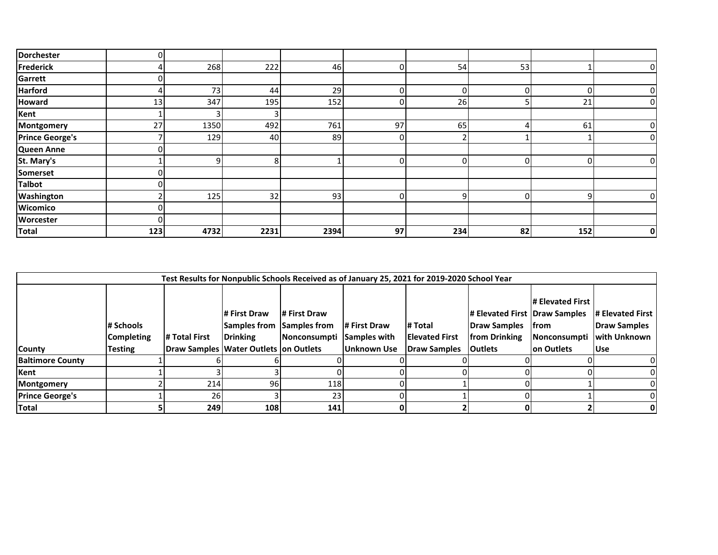| <b>Dorchester</b>      | 0   |      |      |      |    |     |    |     |   |
|------------------------|-----|------|------|------|----|-----|----|-----|---|
| <b>Frederick</b>       |     | 268  | 222  | 46   |    | 54  | 53 |     |   |
| Garrett                | 0   |      |      |      |    |     |    |     |   |
| <b>Harford</b>         |     | 73   | 44   | 29   | 0  |     | n  |     |   |
| <b>Howard</b>          | 13  | 347  | 195  | 152  | 0  | 26  |    | 21  |   |
| Kent                   |     |      | 3    |      |    |     |    |     |   |
| Montgomery             | 27  | 1350 | 492  | 761  | 97 | 65  |    | 61  |   |
| <b>Prince George's</b> |     | 129  | 40   | 89   | 0  |     |    |     |   |
| Queen Anne             | 0   |      |      |      |    |     |    |     |   |
| St. Mary's             |     |      | 8    |      | 0  |     |    |     |   |
| Somerset               |     |      |      |      |    |     |    |     |   |
| <b>Talbot</b>          | 0   |      |      |      |    |     |    |     |   |
| Washington             |     | 125  | 32   | 93   | 0  | a   | n  | ი   |   |
| Wicomico               | 0   |      |      |      |    |     |    |     |   |
| <b>Worcester</b>       | 0   |      |      |      |    |     |    |     |   |
| Total                  | 123 | 4732 | 2231 | 2394 | 97 | 234 | 82 | 152 | 0 |

|                         |                                                  |               |                                                                                          |                                                                  |                                    | Test Results for Nonpublic Schools Received as of January 25, 2021 for 2019-2020 School Year |                                                                                           |                                                                |                                                                |
|-------------------------|--------------------------------------------------|---------------|------------------------------------------------------------------------------------------|------------------------------------------------------------------|------------------------------------|----------------------------------------------------------------------------------------------|-------------------------------------------------------------------------------------------|----------------------------------------------------------------|----------------------------------------------------------------|
| <b>County</b>           | # Schools<br><b>Completing</b><br><b>Testing</b> | # Total First | # First Draw<br><b>Samples from</b><br>Drinking<br>Draw Samples Water Outlets on Outlets | # First Draw<br><b>Samples from</b><br>Nonconsumpti Samples with | # First Draw<br><b>Unknown Use</b> | # Total<br><b>Elevated First</b><br>Draw Samples                                             | # Elevated First   Draw Samples<br>Draw Samples   from<br>from Drinking<br><b>Outlets</b> | <b>I# Elevated First</b><br><b>Nonconsumpti</b><br>Ion Outlets | # Elevated First<br>Draw Samples<br>with Unknown<br><b>Use</b> |
| <b>Baltimore County</b> |                                                  |               |                                                                                          |                                                                  |                                    |                                                                                              |                                                                                           |                                                                |                                                                |
| Kent                    |                                                  |               |                                                                                          |                                                                  |                                    |                                                                                              |                                                                                           |                                                                |                                                                |
| Montgomery              |                                                  | 214           | 96                                                                                       | 118                                                              |                                    |                                                                                              |                                                                                           |                                                                |                                                                |
| <b>Prince George's</b>  |                                                  | 26            |                                                                                          | 23                                                               |                                    |                                                                                              |                                                                                           |                                                                | 01                                                             |
| Total                   |                                                  | 2491          | 108                                                                                      | 141                                                              |                                    |                                                                                              |                                                                                           |                                                                |                                                                |